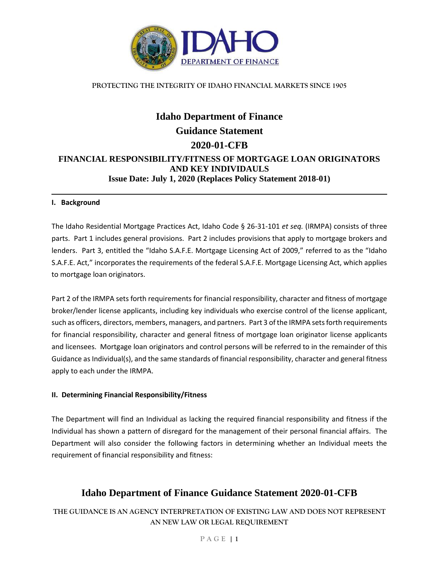

# **Idaho Department of Finance Guidance Statement 2020-01-CFB FINANCIAL RESPONSIBILITY/FITNESS OF MORTGAGE LOAN ORIGINATORS AND KEY INDIVIDAULS Issue Date: July 1, 2020 (Replaces Policy Statement 2018-01)**

#### **I. Background**

The Idaho Residential Mortgage Practices Act, Idaho Code § 26-31-101 *et seq.* (IRMPA) consists of three parts. Part 1 includes general provisions. Part 2 includes provisions that apply to mortgage brokers and lenders. Part 3, entitled the "Idaho S.A.F.E. Mortgage Licensing Act of 2009," referred to as the "Idaho S.A.F.E. Act," incorporates the requirements of the federal S.A.F.E. Mortgage Licensing Act, which applies to mortgage loan originators.

Part 2 of the IRMPA sets forth requirements for financial responsibility, character and fitness of mortgage broker/lender license applicants, including key individuals who exercise control of the license applicant, such as officers, directors, members, managers, and partners. Part 3 of the IRMPA sets forth requirements for financial responsibility, character and general fitness of mortgage loan originator license applicants and licensees. Mortgage loan originators and control persons will be referred to in the remainder of this Guidance as Individual(s), and the same standards of financial responsibility, character and general fitness apply to each under the IRMPA.

#### **II. Determining Financial Responsibility/Fitness**

The Department will find an Individual as lacking the required financial responsibility and fitness if the Individual has shown a pattern of disregard for the management of their personal financial affairs. The Department will also consider the following factors in determining whether an Individual meets the requirement of financial responsibility and fitness:

### **Idaho Department of Finance Guidance Statement 2020-01-CFB**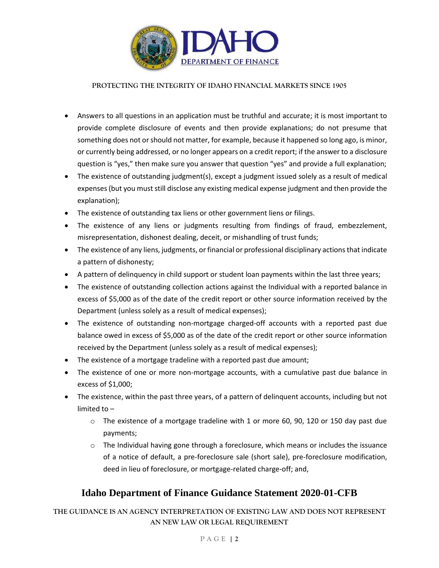

- Answers to all questions in an application must be truthful and accurate; it is most important to provide complete disclosure of events and then provide explanations; do not presume that something does not or should not matter, for example, because it happened so long ago, is minor, or currently being addressed, or no longer appears on a credit report; if the answer to a disclosure question is "yes," then make sure you answer that question "yes" and provide a full explanation;
- The existence of outstanding judgment(s), except a judgment issued solely as a result of medical expenses (but you must still disclose any existing medical expense judgment and then provide the explanation);
- The existence of outstanding tax liens or other government liens or filings.
- The existence of any liens or judgments resulting from findings of fraud, embezzlement, misrepresentation, dishonest dealing, deceit, or mishandling of trust funds;
- The existence of any liens, judgments, or financial or professional disciplinary actions that indicate a pattern of dishonesty;
- A pattern of delinquency in child support or student loan payments within the last three years;
- The existence of outstanding collection actions against the Individual with a reported balance in excess of \$5,000 as of the date of the credit report or other source information received by the Department (unless solely as a result of medical expenses);
- The existence of outstanding non-mortgage charged-off accounts with a reported past due balance owed in excess of \$5,000 as of the date of the credit report or other source information received by the Department (unless solely as a result of medical expenses);
- The existence of a mortgage tradeline with a reported past due amount;
- The existence of one or more non-mortgage accounts, with a cumulative past due balance in excess of \$1,000;
- The existence, within the past three years, of a pattern of delinquent accounts, including but not limited to –
	- $\circ$  The existence of a mortgage tradeline with 1 or more 60, 90, 120 or 150 day past due payments;
	- $\circ$  The Individual having gone through a foreclosure, which means or includes the issuance of a notice of default, a pre-foreclosure sale (short sale), pre-foreclosure modification, deed in lieu of foreclosure, or mortgage-related charge-off; and,

# **Idaho Department of Finance Guidance Statement 2020-01-CFB**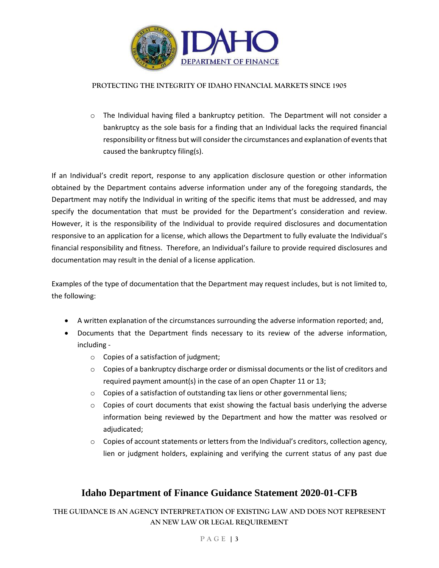

 $\circ$  The Individual having filed a bankruptcy petition. The Department will not consider a bankruptcy as the sole basis for a finding that an Individual lacks the required financial responsibility or fitness but will consider the circumstances and explanation of events that caused the bankruptcy filing(s).

If an Individual's credit report, response to any application disclosure question or other information obtained by the Department contains adverse information under any of the foregoing standards, the Department may notify the Individual in writing of the specific items that must be addressed, and may specify the documentation that must be provided for the Department's consideration and review. However, it is the responsibility of the Individual to provide required disclosures and documentation responsive to an application for a license, which allows the Department to fully evaluate the Individual's financial responsibility and fitness. Therefore, an Individual's failure to provide required disclosures and documentation may result in the denial of a license application.

Examples of the type of documentation that the Department may request includes, but is not limited to, the following:

- A written explanation of the circumstances surrounding the adverse information reported; and,
- Documents that the Department finds necessary to its review of the adverse information, including
	- o Copies of a satisfaction of judgment;
	- o Copies of a bankruptcy discharge order or dismissal documents or the list of creditors and required payment amount(s) in the case of an open Chapter 11 or 13;
	- $\circ$  Copies of a satisfaction of outstanding tax liens or other governmental liens;
	- $\circ$  Copies of court documents that exist showing the factual basis underlying the adverse information being reviewed by the Department and how the matter was resolved or adjudicated;
	- $\circ$  Copies of account statements or letters from the Individual's creditors, collection agency, lien or judgment holders, explaining and verifying the current status of any past due

### **Idaho Department of Finance Guidance Statement 2020-01-CFB**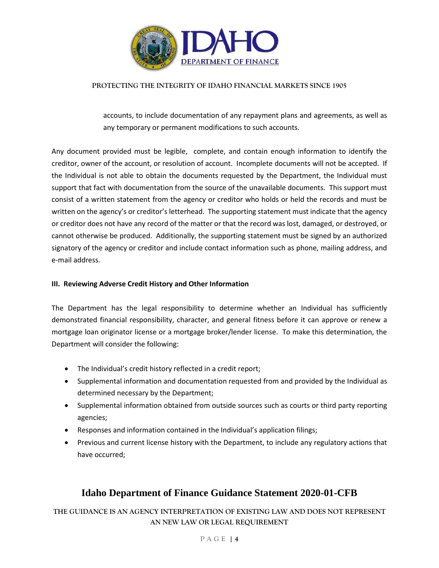

accounts, to include documentation of any repayment plans and agreements, as well as any temporary or permanent modifications to such accounts.

Any document provided must be legible, complete, and contain enough information to identify the creditor, owner of the account, or resolution of account. Incomplete documents will not be accepted. If the Individual is not able to obtain the documents requested by the Department, the Individual must support that fact with documentation from the source of the unavailable documents. This support must consist of a written statement from the agency or creditor who holds or held the records and must be written on the agency's or creditor's letterhead. The supporting statement must indicate that the agency or creditor does not have any record of the matter or that the record was lost, damaged, or destroyed, or cannot otherwise be produced. Additionally, the supporting statement must be signed by an authorized signatory of the agency or creditor and include contact information such as phone, mailing address, and e-mail address.

#### **III. Reviewing Adverse Credit History and Other Information**

The Department has the legal responsibility to determine whether an Individual has sufficiently demonstrated financial responsibility, character, and general fitness before it can approve or renew a mortgage loan originator license or a mortgage broker/lender license. To make this determination, the Department will consider the following:

- The Individual's credit history reflected in a credit report;
- Supplemental information and documentation requested from and provided by the Individual as determined necessary by the Department;
- Supplemental information obtained from outside sources such as courts or third party reporting agencies;
- Responses and information contained in the Individual's application filings;
- Previous and current license history with the Department, to include any regulatory actions that have occurred;

# **Idaho Department of Finance Guidance Statement 2020-01-CFB**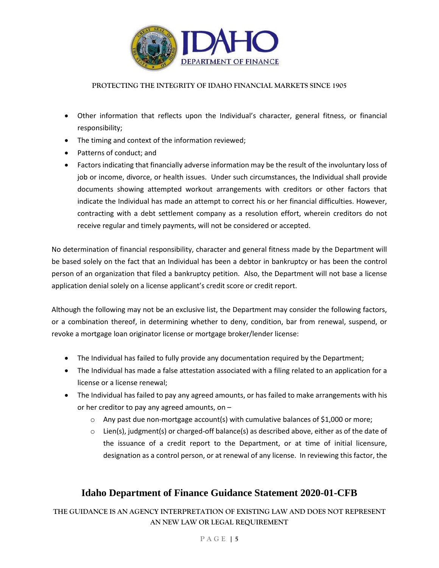

- Other information that reflects upon the Individual's character, general fitness, or financial responsibility;
- The timing and context of the information reviewed;
- Patterns of conduct; and
- Factors indicating that financially adverse information may be the result of the involuntary loss of job or income, divorce, or health issues. Under such circumstances, the Individual shall provide documents showing attempted workout arrangements with creditors or other factors that indicate the Individual has made an attempt to correct his or her financial difficulties. However, contracting with a debt settlement company as a resolution effort, wherein creditors do not receive regular and timely payments, will not be considered or accepted.

No determination of financial responsibility, character and general fitness made by the Department will be based solely on the fact that an Individual has been a debtor in bankruptcy or has been the control person of an organization that filed a bankruptcy petition. Also, the Department will not base a license application denial solely on a license applicant's credit score or credit report.

Although the following may not be an exclusive list, the Department may consider the following factors, or a combination thereof, in determining whether to deny, condition, bar from renewal, suspend, or revoke a mortgage loan originator license or mortgage broker/lender license:

- The Individual has failed to fully provide any documentation required by the Department;
- The Individual has made a false attestation associated with a filing related to an application for a license or a license renewal;
- The Individual has failed to pay any agreed amounts, or has failed to make arrangements with his or her creditor to pay any agreed amounts, on –
	- $\circ$  Any past due non-mortgage account(s) with cumulative balances of \$1,000 or more;
	- $\circ$  Lien(s), judgment(s) or charged-off balance(s) as described above, either as of the date of the issuance of a credit report to the Department, or at time of initial licensure, designation as a control person, or at renewal of any license. In reviewing this factor, the

# **Idaho Department of Finance Guidance Statement 2020-01-CFB**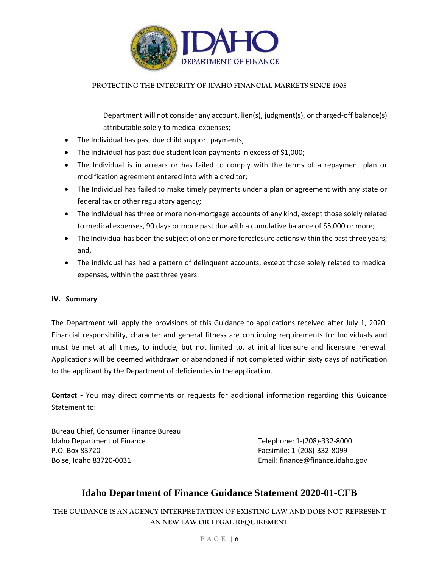

Department will not consider any account, lien(s), judgment(s), or charged-off balance(s) attributable solely to medical expenses;

- The Individual has past due child support payments;
- The Individual has past due student loan payments in excess of \$1,000;
- The Individual is in arrears or has failed to comply with the terms of a repayment plan or modification agreement entered into with a creditor;
- The Individual has failed to make timely payments under a plan or agreement with any state or federal tax or other regulatory agency;
- The Individual has three or more non-mortgage accounts of any kind, except those solely related to medical expenses, 90 days or more past due with a cumulative balance of \$5,000 or more;
- The Individual has been the subject of one or more foreclosure actions within the past three years; and,
- The individual has had a pattern of delinquent accounts, except those solely related to medical expenses, within the past three years.

#### **IV. Summary**

The Department will apply the provisions of this Guidance to applications received after July 1, 2020. Financial responsibility, character and general fitness are continuing requirements for Individuals and must be met at all times, to include, but not limited to, at initial licensure and licensure renewal. Applications will be deemed withdrawn or abandoned if not completed within sixty days of notification to the applicant by the Department of deficiencies in the application.

**Contact -** You may direct comments or requests for additional information regarding this Guidance Statement to:

Bureau Chief, Consumer Finance Bureau Idaho Department of Finance Telephone: 1-(208)-332-8000 P.O. Box 83720 Facsimile: 1-(208)-332-8099 Boise, Idaho 83720-0031 Email: finance@finance.idaho.gov

# **Idaho Department of Finance Guidance Statement 2020-01-CFB**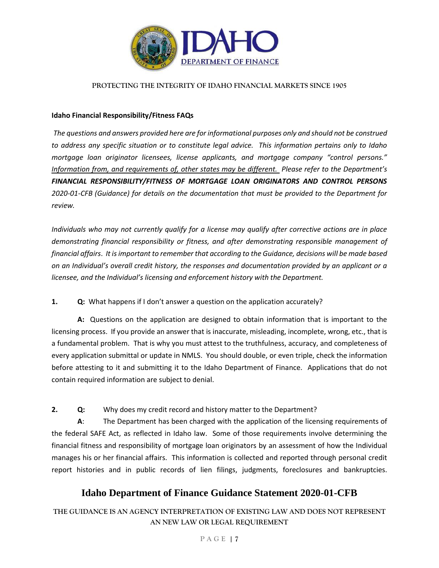

#### **Idaho Financial Responsibility/Fitness FAQs**

*The questions and answers provided here are for informational purposes only and should not be construed to address any specific situation or to constitute legal advice. This information pertains only to Idaho mortgage loan originator licensees, license applicants, and mortgage company "control persons." Information from, and requirements of, other states may be different. Please refer to the Department's FINANCIAL RESPONSIBILITY/FITNESS OF MORTGAGE LOAN ORIGINATORS AND CONTROL PERSONS 2020-01-CFB (Guidance) for details on the documentation that must be provided to the Department for review.* 

*Individuals who may not currently qualify for a license may qualify after corrective actions are in place demonstrating financial responsibility or fitness, and after demonstrating responsible management of financial affairs*. *It is important to remember that according to the Guidance, decisions will be made based on an Individual's overall credit history, the responses and documentation provided by an applicant or a licensee, and the Individual's licensing and enforcement history with the Department.* 

#### **1. Q:** What happens if I don't answer a question on the application accurately?

**A:** Questions on the application are designed to obtain information that is important to the licensing process. If you provide an answer that is inaccurate, misleading, incomplete, wrong, etc., that is a fundamental problem. That is why you must attest to the truthfulness, accuracy, and completeness of every application submittal or update in NMLS. You should double, or even triple, check the information before attesting to it and submitting it to the Idaho Department of Finance. Applications that do not contain required information are subject to denial.

**2. Q:** Why does my credit record and history matter to the Department?

**A**: The Department has been charged with the application of the licensing requirements of the federal SAFE Act, as reflected in Idaho law. Some of those requirements involve determining the financial fitness and responsibility of mortgage loan originators by an assessment of how the Individual manages his or her financial affairs. This information is collected and reported through personal credit report histories and in public records of lien filings, judgments, foreclosures and bankruptcies.

### **Idaho Department of Finance Guidance Statement 2020-01-CFB**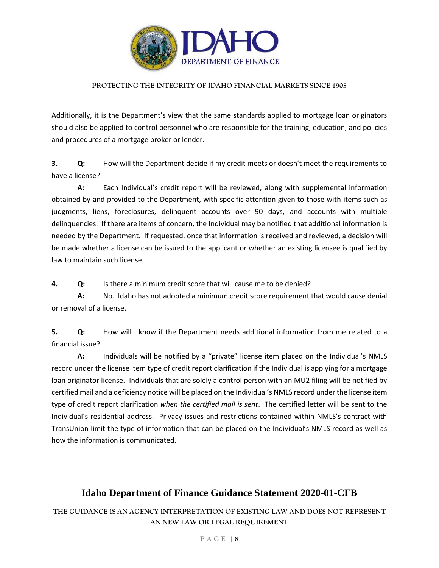

Additionally, it is the Department's view that the same standards applied to mortgage loan originators should also be applied to control personnel who are responsible for the training, education, and policies and procedures of a mortgage broker or lender.

**3. Q:** How will the Department decide if my credit meets or doesn't meet the requirements to have a license?

**A:** Each Individual's credit report will be reviewed, along with supplemental information obtained by and provided to the Department, with specific attention given to those with items such as judgments, liens, foreclosures, delinquent accounts over 90 days, and accounts with multiple delinquencies. If there are items of concern, the Individual may be notified that additional information is needed by the Department. If requested, once that information is received and reviewed, a decision will be made whether a license can be issued to the applicant or whether an existing licensee is qualified by law to maintain such license.

**4. Q:** Is there a minimum credit score that will cause me to be denied?

**A:** No. Idaho has not adopted a minimum credit score requirement that would cause denial or removal of a license.

**5. Q:** How will I know if the Department needs additional information from me related to a financial issue?

**A:** Individuals will be notified by a "private" license item placed on the Individual's NMLS record under the license item type of credit report clarification if the Individual is applying for a mortgage loan originator license. Individuals that are solely a control person with an MU2 filing will be notified by certified mail and a deficiency notice will be placed on the Individual's NMLS record under the license item type of credit report clarification *when the certified mail is sent*. The certified letter will be sent to the Individual's residential address. Privacy issues and restrictions contained within NMLS's contract with TransUnion limit the type of information that can be placed on the Individual's NMLS record as well as how the information is communicated.

### **Idaho Department of Finance Guidance Statement 2020-01-CFB**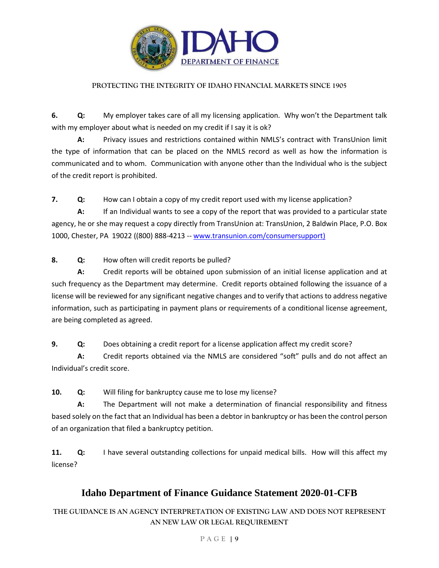

**6. Q:** My employer takes care of all my licensing application. Why won't the Department talk with my employer about what is needed on my credit if I say it is ok?

**A:** Privacy issues and restrictions contained within NMLS's contract with TransUnion limit the type of information that can be placed on the NMLS record as well as how the information is communicated and to whom. Communication with anyone other than the Individual who is the subject of the credit report is prohibited.

**7. Q:** How can I obtain a copy of my credit report used with my license application?

**A:** If an Individual wants to see a copy of the report that was provided to a particular state agency, he or she may request a copy directly from TransUnion at: TransUnion, 2 Baldwin Place, P.O. Box 1000, Chester, PA 19022 ((800) 888-4213 -- [www.transunion.com/consumersupport\)](http://www.transunion.com/consumersupport)

**8. Q:** How often will credit reports be pulled?

**A:** Credit reports will be obtained upon submission of an initial license application and at such frequency as the Department may determine. Credit reports obtained following the issuance of a license will be reviewed for any significant negative changes and to verify that actions to address negative information, such as participating in payment plans or requirements of a conditional license agreement, are being completed as agreed.

**9. Q:** Does obtaining a credit report for a license application affect my credit score?

**A:** Credit reports obtained via the NMLS are considered "soft" pulls and do not affect an Individual's credit score.

**10. Q:** Will filing for bankruptcy cause me to lose my license?

**A:** The Department will not make a determination of financial responsibility and fitness based solely on the fact that an Individual has been a debtor in bankruptcy or has been the control person of an organization that filed a bankruptcy petition.

**11. Q:** I have several outstanding collections for unpaid medical bills. How will this affect my license?

# **Idaho Department of Finance Guidance Statement 2020-01-CFB**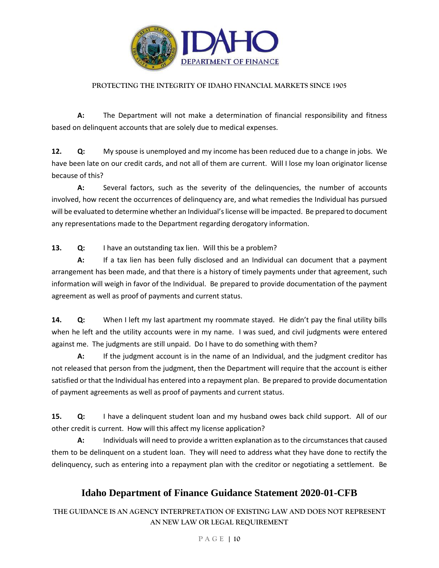

**A:** The Department will not make a determination of financial responsibility and fitness based on delinquent accounts that are solely due to medical expenses.

**12. Q:** My spouse is unemployed and my income has been reduced due to a change in jobs. We have been late on our credit cards, and not all of them are current. Will I lose my loan originator license because of this?

**A:** Several factors, such as the severity of the delinquencies, the number of accounts involved, how recent the occurrences of delinquency are, and what remedies the Individual has pursued will be evaluated to determine whether an Individual's license will be impacted. Be prepared to document any representations made to the Department regarding derogatory information.

**13. Q:** I have an outstanding tax lien. Will this be a problem?

**A:** If a tax lien has been fully disclosed and an Individual can document that a payment arrangement has been made, and that there is a history of timely payments under that agreement, such information will weigh in favor of the Individual. Be prepared to provide documentation of the payment agreement as well as proof of payments and current status.

**14. Q:** When I left my last apartment my roommate stayed. He didn't pay the final utility bills when he left and the utility accounts were in my name. I was sued, and civil judgments were entered against me. The judgments are still unpaid. Do I have to do something with them?

**A:** If the judgment account is in the name of an Individual, and the judgment creditor has not released that person from the judgment, then the Department will require that the account is either satisfied or that the Individual has entered into a repayment plan. Be prepared to provide documentation of payment agreements as well as proof of payments and current status.

**15. Q:** I have a delinquent student loan and my husband owes back child support. All of our other credit is current. How will this affect my license application?

**A:** Individuals will need to provide a written explanation as to the circumstances that caused them to be delinquent on a student loan. They will need to address what they have done to rectify the delinquency, such as entering into a repayment plan with the creditor or negotiating a settlement. Be

# **Idaho Department of Finance Guidance Statement 2020-01-CFB**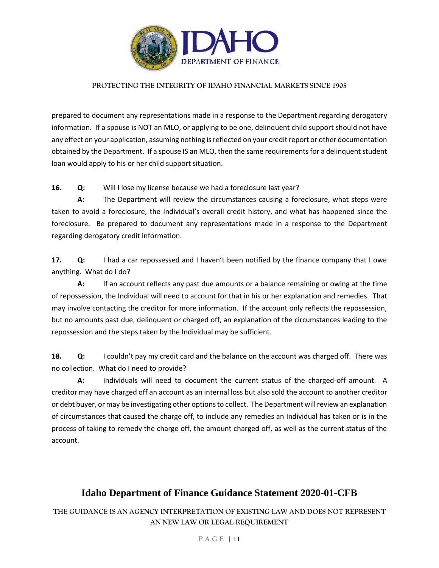

prepared to document any representations made in a response to the Department regarding derogatory information. If a spouse is NOT an MLO, or applying to be one, delinquent child support should not have any effect on your application, assuming nothing is reflected on your credit report or other documentation obtained by the Department. If a spouse IS an MLO, then the same requirements for a delinquent student loan would apply to his or her child support situation.

### **16. Q:** Will I lose my license because we had a foreclosure last year?

**A:** The Department will review the circumstances causing a foreclosure, what steps were taken to avoid a foreclosure, the Individual's overall credit history, and what has happened since the foreclosure. Be prepared to document any representations made in a response to the Department regarding derogatory credit information.

**17. Q:** I had a car repossessed and I haven't been notified by the finance company that I owe anything. What do I do?

**A:** If an account reflects any past due amounts or a balance remaining or owing at the time of repossession, the Individual will need to account for that in his or her explanation and remedies. That may involve contacting the creditor for more information. If the account only reflects the repossession, but no amounts past due, delinquent or charged off, an explanation of the circumstances leading to the repossession and the steps taken by the Individual may be sufficient.

**18. Q:** I couldn't pay my credit card and the balance on the account was charged off. There was no collection. What do I need to provide?

**A:** Individuals will need to document the current status of the charged-off amount. A creditor may have charged off an account as an internal loss but also sold the account to another creditor or debt buyer, or may be investigating other options to collect. The Department will review an explanation of circumstances that caused the charge off, to include any remedies an Individual has taken or is in the process of taking to remedy the charge off, the amount charged off, as well as the current status of the account.

# **Idaho Department of Finance Guidance Statement 2020-01-CFB**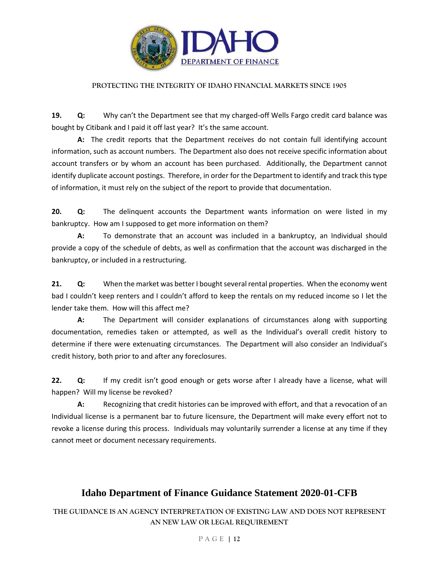

**19. Q:** Why can't the Department see that my charged-off Wells Fargo credit card balance was bought by Citibank and I paid it off last year? It's the same account.

**A:** The credit reports that the Department receives do not contain full identifying account information, such as account numbers. The Department also does not receive specific information about account transfers or by whom an account has been purchased. Additionally, the Department cannot identify duplicate account postings. Therefore, in order for the Department to identify and track this type of information, it must rely on the subject of the report to provide that documentation.

**20. Q:** The delinquent accounts the Department wants information on were listed in my bankruptcy. How am I supposed to get more information on them?

**A:** To demonstrate that an account was included in a bankruptcy, an Individual should provide a copy of the schedule of debts, as well as confirmation that the account was discharged in the bankruptcy, or included in a restructuring.

**21. Q:** When the market was better I bought several rental properties. When the economy went bad I couldn't keep renters and I couldn't afford to keep the rentals on my reduced income so I let the lender take them. How will this affect me?

**A:** The Department will consider explanations of circumstances along with supporting documentation, remedies taken or attempted, as well as the Individual's overall credit history to determine if there were extenuating circumstances. The Department will also consider an Individual's credit history, both prior to and after any foreclosures.

**22. Q:** If my credit isn't good enough or gets worse after I already have a license, what will happen? Will my license be revoked?

**A:** Recognizing that credit histories can be improved with effort, and that a revocation of an Individual license is a permanent bar to future licensure, the Department will make every effort not to revoke a license during this process. Individuals may voluntarily surrender a license at any time if they cannot meet or document necessary requirements.

# **Idaho Department of Finance Guidance Statement 2020-01-CFB**